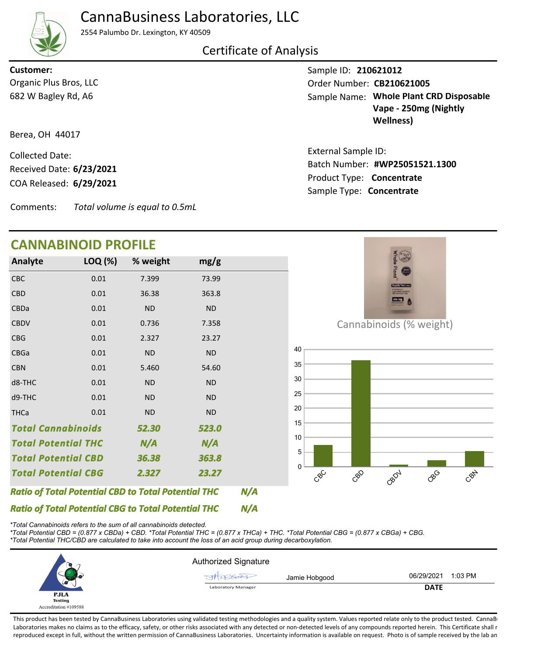

## CannaBusiness Laboratories, LLC

2554 Palumbo Dr. Lexington, KY 40509

### Certificate of Analysis

682 W Bagley Rd, A6 Organic Plus Bros, LLC **Customer:**

Berea, OH 44017

COA Released: Collected Date: Received Date: **6/23/2021**

Comments: *Total volume is equal to 0.5mL*

## **CANNABINOID PROFILE**

| <b>Analyte</b>             | LOQ (%) | % weight  | mg/g      |
|----------------------------|---------|-----------|-----------|
| <b>CBC</b>                 | 0.01    | 7.399     | 73.99     |
| <b>CBD</b>                 | 0.01    | 36.38     | 363.8     |
| <b>CBDa</b>                | 0.01    | <b>ND</b> | <b>ND</b> |
| <b>CBDV</b>                | 0.01    | 0.736     | 7.358     |
| <b>CBG</b>                 | 0.01    | 2.327     | 23.27     |
| <b>CBGa</b>                | 0.01    | <b>ND</b> | <b>ND</b> |
| <b>CBN</b>                 | 0.01    | 5.460     | 54.60     |
| d8-THC                     | 0.01    | <b>ND</b> | <b>ND</b> |
| d9-THC                     | 0.01    | <b>ND</b> | <b>ND</b> |
| <b>THCa</b>                | 0.01    | <b>ND</b> | <b>ND</b> |
| <b>Total Cannabinoids</b>  |         | 52.30     | 523.0     |
| <b>Total Potential THC</b> |         | N/A       | N/A       |
| <b>Total Potential CBD</b> |         | 36.38     | 363.8     |
| <b>Total Potential CBG</b> |         | 2.327     | 23.27     |

*N/A Ratio of Total Potential CBD to Total Potential THC*

*N/A Ratio of Total Potential CBG to Total Potential THC*

*\*Total Cannabinoids refers to the sum of all cannabinoids detected. \*Total Potential CBD = (0.877 x CBDa) + CBD. \*Total Potential THC = (0.877 x THCa) + THC. \*Total Potential CBG = (0.877 x CBGa) + CBG.*

*\*Total Potential THC/CBD are calculated to take into account the loss of an acid group during decarboxylation.*

|                       | <b>Authorized Signature</b> |                       |
|-----------------------|-----------------------------|-----------------------|
|                       | Jamie Hobgood<br>rocest     | 1:03 PM<br>06/29/2021 |
| س                     | <b>Laboratory Manager</b>   | <b>DATE</b>           |
| <b>PJLA</b>           |                             |                       |
| <b>Testing</b>        |                             |                       |
| Accreditation #109588 |                             |                       |

This product has been tested by CannaBusiness Laboratories using validated testing methodologies and a quality system. Values reported relate only to the product tested. CannaB Laboratories makes no claims as to the efficacy, safety, or other risks associated with any detected or non-detected levels of any compounds reported herein. This Certificate shall r reproduced except in full, without the written permission of CannaBusiness Laboratories. Uncertainty information is available on request. Photo is of sample received by the lab an

Sample ID: **210621012** Sample Name: Whole Plant CRD Disposable **Vape - 250mg (Nightly Wellness)** Order Number: CB210621005

Product Type: **Concentrate 6/29/2021 #WP25051521.1300** Batch Number: External Sample ID: Sample Type: **Concentrate**



Cannabinoids (% weight)